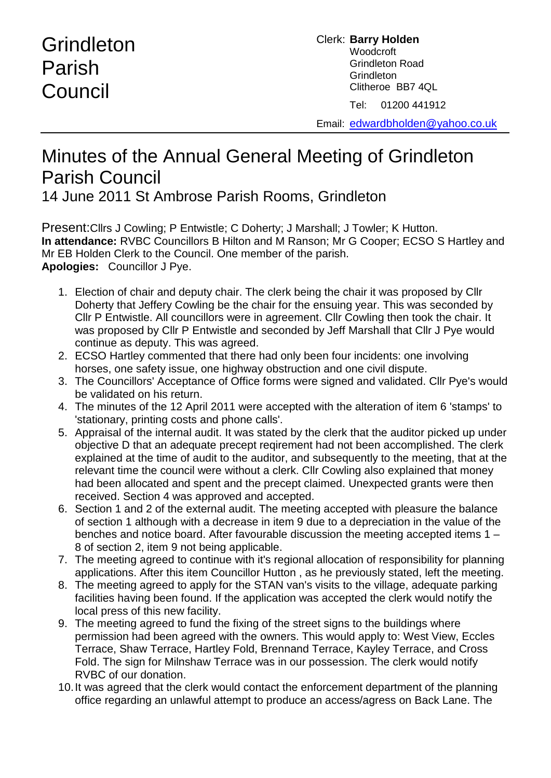## Grindleton Parish **Council**

Clerk: **Barry Holden** Woodcroft Grindleton Road **Grindleton** Clitheroe BB7 4QL Tel: 01200 441912

Email: [edwardbholden@yahoo.co.uk](mailto:edwardbholden@yahoo.co.uk)

## Minutes of the Annual General Meeting of Grindleton Parish Council

14 June 2011 St Ambrose Parish Rooms, Grindleton

Present:Cllrs J Cowling; P Entwistle; C Doherty; J Marshall; J Towler; K Hutton. **In attendance:** RVBC Councillors B Hilton and M Ranson; Mr G Cooper; ECSO S Hartley and Mr EB Holden Clerk to the Council. One member of the parish. **Apologies:** Councillor J Pye.

- 1. Election of chair and deputy chair. The clerk being the chair it was proposed by Cllr Doherty that Jeffery Cowling be the chair for the ensuing year. This was seconded by Cllr P Entwistle. All councillors were in agreement. Cllr Cowling then took the chair. It was proposed by Cllr P Entwistle and seconded by Jeff Marshall that Cllr J Pye would continue as deputy. This was agreed.
- 2. ECSO Hartley commented that there had only been four incidents: one involving horses, one safety issue, one highway obstruction and one civil dispute.
- 3. The Councillors' Acceptance of Office forms were signed and validated. Cllr Pye's would be validated on his return.
- 4. The minutes of the 12 April 2011 were accepted with the alteration of item 6 'stamps' to 'stationary, printing costs and phone calls'.
- 5. Appraisal of the internal audit. It was stated by the clerk that the auditor picked up under objective D that an adequate precept reqirement had not been accomplished. The clerk explained at the time of audit to the auditor, and subsequently to the meeting, that at the relevant time the council were without a clerk. Cllr Cowling also explained that money had been allocated and spent and the precept claimed. Unexpected grants were then received. Section 4 was approved and accepted.
- 6. Section 1 and 2 of the external audit. The meeting accepted with pleasure the balance of section 1 although with a decrease in item 9 due to a depreciation in the value of the benches and notice board. After favourable discussion the meeting accepted items 1 – 8 of section 2, item 9 not being applicable.
- 7. The meeting agreed to continue with it's regional allocation of responsibility for planning applications. After this item Councillor Hutton , as he previously stated, left the meeting.
- 8. The meeting agreed to apply for the STAN van's visits to the village, adequate parking facilities having been found. If the application was accepted the clerk would notify the local press of this new facility.
- 9. The meeting agreed to fund the fixing of the street signs to the buildings where permission had been agreed with the owners. This would apply to: West View, Eccles Terrace, Shaw Terrace, Hartley Fold, Brennand Terrace, Kayley Terrace, and Cross Fold. The sign for Milnshaw Terrace was in our possession. The clerk would notify RVBC of our donation.
- 10.It was agreed that the clerk would contact the enforcement department of the planning office regarding an unlawful attempt to produce an access/agress on Back Lane. The